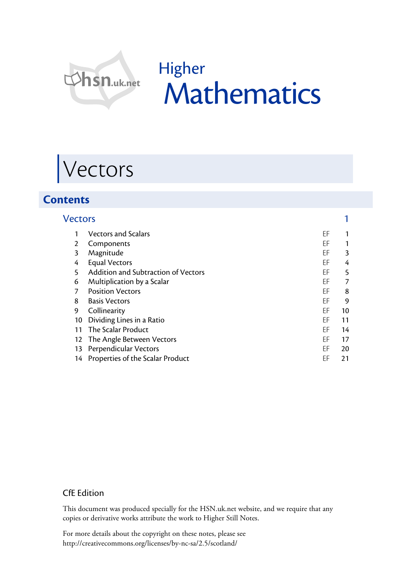

# Higher Mathematics

# Vectors

## **Contents**

| <b>Vectors</b> |                                     |    |    |
|----------------|-------------------------------------|----|----|
|                | <b>Vectors and Scalars</b>          | ΕF |    |
| 2              | Components                          | ΕF | 1  |
| 3              | Magnitude                           | EF | 3  |
| 4              | <b>Equal Vectors</b>                | ΕF | 4  |
| 5              | Addition and Subtraction of Vectors | EF | 5  |
| 6              | Multiplication by a Scalar          | EF | 7  |
| 7              | <b>Position Vectors</b>             | ΕF | 8  |
| 8              | <b>Basis Vectors</b>                | EF | 9  |
| 9              | Collinearity                        | EF | 10 |
| 10             | Dividing Lines in a Ratio           | ΕF | 11 |
| 11             | The Scalar Product                  | ΕF | 14 |
| 12             | The Angle Between Vectors           | ΕF | 17 |
| 13             | Perpendicular Vectors               | ΕF | 20 |
|                | 14 Properties of the Scalar Product | EF | 21 |

#### CfE Edition

This document was produced specially for the HSN.uk.net website, and we require that any copies or derivative works attribute the work to Higher Still Notes.

For more details about the copyright on these notes, please see http://creativecommons.org/licenses/by-nc-sa/2.5/scotland/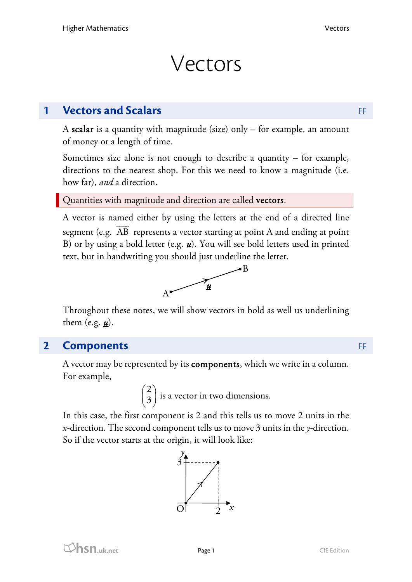# Vectors

## **1 <b>Vectors and Scalars EF**

A scalar is a quantity with magnitude (size) only – for example, an amount of money or a length of time.

Sometimes size alone is not enough to describe a quantity – for example, directions to the nearest shop. For this we need to know a magnitude (i.e. how far), *and* a direction.

Quantities with magnitude and direction are called vectors.

A vector is named either by using the letters at the end of a directed line segment (e.g.  $\overrightarrow{AB}$  represents a vector starting at point A and ending at point B) or by using a bold letter (e.g. *u*). You will see bold letters used in printed text, but in handwriting you should just underline the letter.



Throughout these notes, we will show vectors in bold as well us underlining them (e.g.  $\underline{\mathbf{u}}$ ).

## **2 Components** EF

A vector may be represented by its components, which we write in a column. For example,

> 2  $\begin{pmatrix} 2 \\ 3 \end{pmatrix}$  is a vector in two dimensions.

In this case, the first component is 2 and this tells us to move 2 units in the *x*-direction. The second component tells us to move 3 units in the *y*-direction. So if the vector starts at the origin, it will look like:

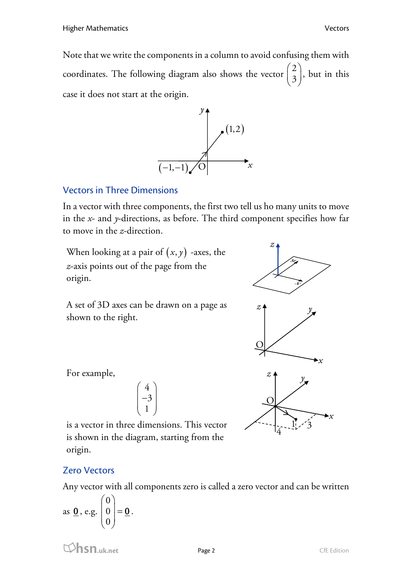Note that we write the components in a column to avoid confusing them with coordinates. The following diagram also shows the vector  $\begin{pmatrix} 2 \\ 3 \end{pmatrix}$  $\begin{bmatrix} 2 \\ 3 \end{bmatrix}$ , but in this case it does not start at the origin.



### Vectors in Three Dimensions

In a vector with three components, the first two tell us ho many units to move in the *x*- and *y*-directions, as before. The third component specifies how far to move in the *z*-direction.

When looking at a pair of  $(x, y)$  -axes, the *z*-axis points out of the page from the origin.

A set of 3D axes can be drawn on a page as shown to the right.



For example,

$$
\begin{pmatrix} 4 \\ -3 \\ 1 \end{pmatrix}
$$

is a vector in three dimensions. This vector is shown in the diagram, starting from the origin.

#### Zero Vectors

Any vector with all components zero is called a zero vector and can be written

as 
$$
\underline{\mathbf{0}}
$$
, e.g.  $\begin{pmatrix} 0 \\ 0 \\ 0 \end{pmatrix} = \underline{\mathbf{0}}$ .

**hsn.uk.net** Page 2 CfE Edition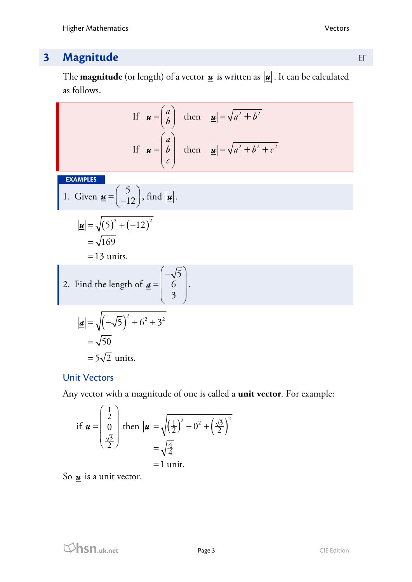# **3 Magnitude** EF

The **magnitude** (or length) of a vector  $\underline{\mathbf{u}}$  is written as  $|\underline{\mathbf{u}}|$ . It can be calculated as follows.

If 
$$
\mathbf{u} = \begin{pmatrix} a \\ b \end{pmatrix}
$$
 then  $|\mathbf{u}| = \sqrt{a^2 + b^2}$   
\nIf  $\mathbf{u} = \begin{pmatrix} a \\ b \\ c \end{pmatrix}$  then  $|\mathbf{u}| = \sqrt{a^2 + b^2 + c^2}$ 

**EXAMPLES** 

1. Given 
$$
\underline{\mathbf{u}} = \begin{pmatrix} 5 \\ -12 \end{pmatrix}
$$
, find  $|\underline{\mathbf{u}}|$ .  

$$
|\underline{\mathbf{u}}| = \sqrt{(5)^2 + (-12)^2}
$$

$$
\frac{2}{2} = \sqrt{169}
$$

 $=13$  units.

2. Find the length of 
$$
\underline{\mathbf{a}} = \begin{pmatrix} -\sqrt{5} \\ 6 \\ 3 \end{pmatrix}
$$
.

$$
|\mathbf{a}| = \sqrt{\left(-\sqrt{5}\right)^2 + 6^2 + 3^2}
$$

$$
= \sqrt{50}
$$

$$
= 5\sqrt{2} \text{ units.}
$$

## Unit Vectors

Any vector with a magnitude of one is called a **unit vector**. For example:

if 
$$
\underline{\mathbf{u}} = \begin{pmatrix} \frac{1}{2} \\ 0 \\ \frac{\sqrt{3}}{2} \end{pmatrix}
$$
 then  $|\underline{\mathbf{u}}| = \sqrt{\left(\frac{1}{2}\right)^2 + 0^2 + \left(\frac{\sqrt{3}}{2}\right)^2}$   
=  $\sqrt{\frac{4}{4}}$   
= 1 unit.

So  $\underline{\mathbf{u}}$  is a unit vector.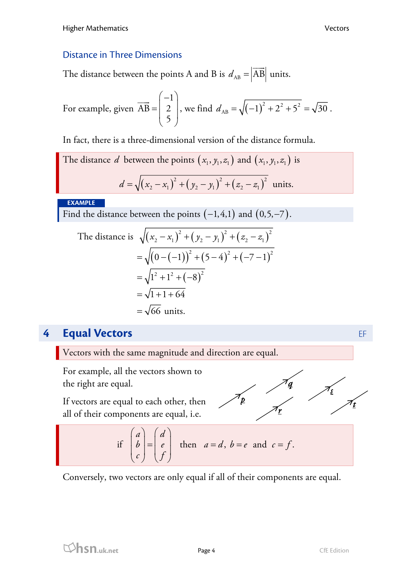## Distance in Three Dimensions

The distance between the points A and B is  $d_{AB} = |AB|$  $\overline{\phantom{a}}$ units.

For example, given 
$$
\overrightarrow{AB} = \begin{pmatrix} -1 \\ 2 \\ 5 \end{pmatrix}
$$
, we find  $d_{AB} = \sqrt{(-1)^2 + 2^2 + 5^2} = \sqrt{30}$ .

In fact, there is a three-dimensional version of the distance formula.

The distance *d* between the points 
$$
(x_1, y_1, z_1)
$$
 and  $(x_1, y_1, z_1)$  is  

$$
d = \sqrt{(x_2 - x_1)^2 + (y_2 - y_1)^2 + (z_2 - z_1)^2}
$$
 units.

**EXAMPLE** 

Find the distance between the points  $(-1,4,1)$  and  $(0,5, -7)$ .

The distance is 
$$
\sqrt{(x_2 - x_1)^2 + (y_2 - y_1)^2 + (z_2 - z_1)^2}
$$
  
\n
$$
= \sqrt{(0 - (-1))^2 + (5 - 4)^2 + (-7 - 1)^2}
$$
\n
$$
= \sqrt{1^2 + 1^2 + (-8)^2}
$$
\n
$$
= \sqrt{1 + 1 + 64}
$$
\n
$$
= \sqrt{66} \text{ units.}
$$

# **4 Equal Vectors EF**

Vectors with the same magnitude and direction are equal.

For example, all the vectors shown to the right are equal.

If vectors are equal to each other, then all of their components are equal, i.e.

$$
\frac{1}{\sqrt{2}}\int\frac{1}{t}dt
$$

╱

if 
$$
\begin{pmatrix} a \\ b \\ c \end{pmatrix} = \begin{pmatrix} d \\ e \\ f \end{pmatrix}
$$
 then  $a = d$ ,  $b = e$  and  $c = f$ .

Conversely, two vectors are only equal if all of their components are equal.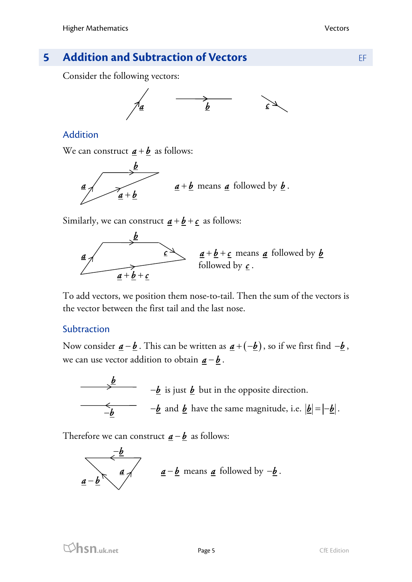# **5 Addition and Subtraction of Vectors EF**

Consider the following vectors:



### Addition

We can construct  $a + b$  as follows:



Similarly, we can construct  $\underline{a} + \underline{b} + \underline{c}$  as follows:



To add vectors, we position them nose-to-tail. Then the sum of the vectors is the vector between the first tail and the last nose.

#### **Subtraction**

Now consider  $\underline{a} - \underline{b}$ . This can be written as  $\underline{a} + (-\underline{b})$ , so if we first find  $-\underline{b}$ , we can use vector addition to obtain  $\underline{a} - \underline{b}$ .



Therefore we can construct  $\underline{\mathbf{a}} - \underline{\mathbf{b}}$  as follows:

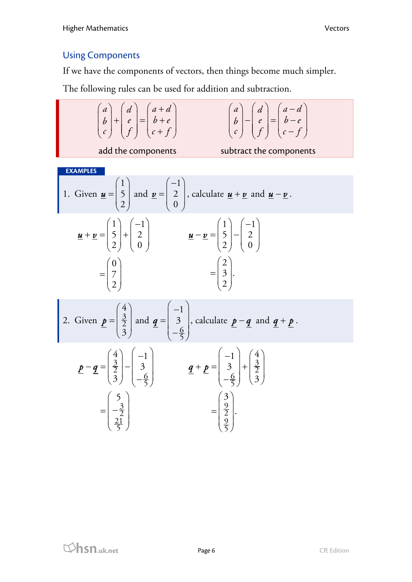## Using Components

If we have the components of vectors, then things become much simpler.

The following rules can be used for addition and subtraction.

$$
\begin{pmatrix}\na \\
b \\
c\n\end{pmatrix} + \begin{pmatrix}\nd \\
e \\
f\n\end{pmatrix} = \begin{pmatrix}\na+d \\
b+e \\
c+f\n\end{pmatrix}
$$
\n
$$
\begin{pmatrix}\na \\
b \\
c\n\end{pmatrix} - \begin{pmatrix}\nd \\
e \\
e\n\end{pmatrix} = \begin{pmatrix}\na-d \\
b-e \\
b-e \\
c-f\n\end{pmatrix}
$$
\nadd the components  
\n**EXAMPLES**  
\n1. Given  $\underline{u} = \begin{pmatrix} 1 \\ 5 \\ 2 \end{pmatrix}$  and  $\underline{v} = \begin{pmatrix} -1 \\ 2 \\ 0 \end{pmatrix}$ , calculate  $\underline{u} + \underline{v}$  and  $\underline{u} - \underline{v}$ .  
\n
$$
\underline{u} + \underline{v} = \begin{pmatrix} 1 \\ 5 \\ 2 \end{pmatrix} + \begin{pmatrix} -1 \\ 2 \\ 0 \end{pmatrix}
$$
\n
$$
= \begin{pmatrix} 0 \\ 7 \\ 2 \end{pmatrix}
$$
\n
$$
= \begin{pmatrix} 0 \\ 7 \\ 2 \end{pmatrix}
$$
\n2. Given  $\underline{p} = \begin{pmatrix} 4 \\ 3 \\ 3 \end{pmatrix}$  and  $\underline{q} = \begin{pmatrix} -1 \\ 3 \\ -\frac{6}{5} \end{pmatrix}$ , calculate  $\underline{p} - \underline{q}$  and  $\underline{q} + \underline{p}$ .  
\n
$$
\underline{p} - \underline{q} = \begin{pmatrix} 4 \\ 3 \\ 3 \end{pmatrix} - \begin{pmatrix} -1 \\ 3 \\ -\frac{6}{5} \end{pmatrix}
$$
\n
$$
= \begin{pmatrix} 5 \\ -\frac{3}{2} \\ \frac{21}{5} \end{pmatrix}
$$
\n
$$
= \begin{pmatrix} 5 \\ -\frac{3}{2} \\ \frac{21}{5} \end{pmatrix}
$$
\n
$$
= \begin{pmatrix} 5 \\ -\frac{3}{2} \\ \frac{21}{5} \end{pmatrix}
$$
\n
$$
= \begin{pmatrix} 5 \\ -\frac{3}{2} \\ \frac{21}{5} \end{pmatrix}
$$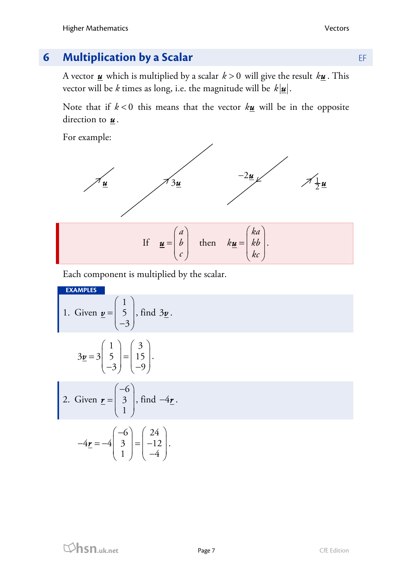# **6 Multiplication by a Scalar <b>EF**

A vector  $\underline{\mathbf{u}}$  which is multiplied by a scalar  $k > 0$  will give the result  $k\underline{\mathbf{u}}$ . This vector will be *k* times as long, i.e. the magnitude will be  $k|\mathbf{u}|$ .

Note that if  $k < 0$  this means that the vector  $k\underline{u}$  will be in the opposite direction to  $\underline{\mathbf{u}}$ .

For example:



 $k\underline{u} = |kb$ 

*kc*

 $\underline{u} = |kb|.$ 

 $\begin{pmatrix} 1 \\ c \end{pmatrix}$  $\begin{pmatrix} 16 \\ k & \end{pmatrix}$ Each component is multiplied by the scalar.

*b c*

 $\underline{\mathbf{u}} = |b|$  then

**EXAMPLES**  1. Given  $\underline{\mathbf{v}} =$ 1 5  $(1)$  $= 5$  $\begin{pmatrix} 2 \\ -3 \end{pmatrix}$  $\nu = | 5 |$ , find  $3\nu$ .

$$
3\underline{v} = 3\begin{pmatrix} 1 \\ 5 \\ -3 \end{pmatrix} = \begin{pmatrix} 3 \\ 15 \\ -9 \end{pmatrix}.
$$

3

2. Given 
$$
\mathbf{r} = \begin{pmatrix} -6 \\ 3 \\ 1 \end{pmatrix}
$$
, find  $-4\mathbf{r}$ .

$$
-4\underline{\mathbf{r}} = -4 \begin{pmatrix} -6 \\ 3 \\ 1 \end{pmatrix} = \begin{pmatrix} 24 \\ -12 \\ -4 \end{pmatrix}.
$$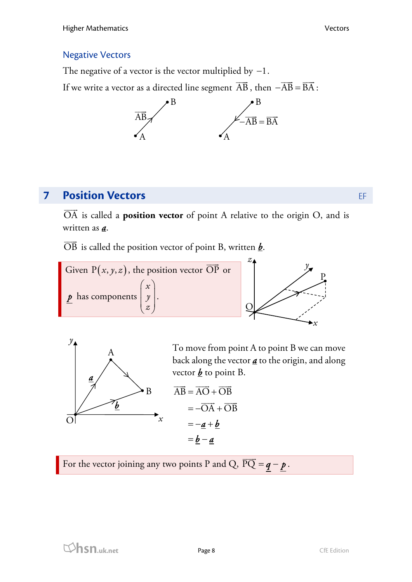## Negative Vectors

The negative of a vector is the vector multiplied by  $-1$ .

If we write a vector as a directed line segment AB  $\overrightarrow{AB}$ , then  $-\overrightarrow{AB} = \overrightarrow{BA}$ :



# **7 Position Vectors EF**

OA is called a **position vector** of point A relative to the origin O, and is written as *a*.

OB is called the position vector of point B, written *b*.





To move from point A to point B we can move back along the vector *a* to the origin, and along vector  $\underline{b}$  to point B.

$$
\overrightarrow{AB} = \overrightarrow{AO} + \overrightarrow{OB}
$$

$$
= -\overrightarrow{OA} + \overrightarrow{OB}
$$

$$
= -\underline{a} + \underline{b}
$$

$$
= \underline{b} - \underline{a}
$$

For the vector joining any two points P and Q,  $\overrightarrow{PQ} = q - p$ .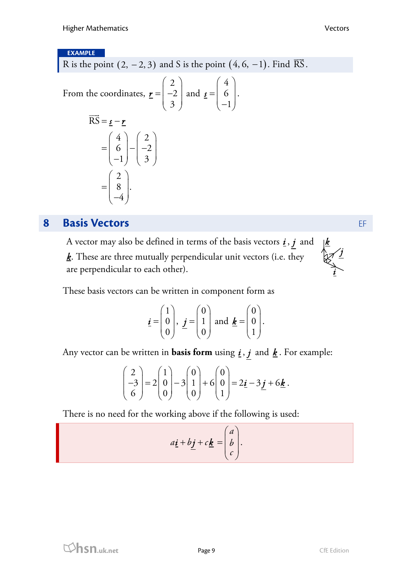#### **EXAMPLE**

R is the point  $(2, -2, 3)$  and S is the point  $(4, 6, -1)$ . Find  $\overline{RS}$ .

From the coordinates, 
$$
\mathbf{r} = \begin{pmatrix} 2 \\ -2 \\ 3 \end{pmatrix}
$$
 and  $\mathbf{s} = \begin{pmatrix} 4 \\ 6 \\ -1 \end{pmatrix}$ .  
\n
$$
\overrightarrow{RS} = \mathbf{s} - \mathbf{r}
$$
\n
$$
= \begin{pmatrix} 4 \\ 6 \\ -1 \end{pmatrix} - \begin{pmatrix} 2 \\ -2 \\ 3 \end{pmatrix}
$$
\n
$$
= \begin{pmatrix} 2 \\ 8 \\ -4 \end{pmatrix}.
$$

## **8 <b>Basis Vectors EF**

A vector may also be defined in terms of the basis vectors  $\underline{i}$ ,  $\underline{j}$  and *k*. These are three mutually perpendicular unit vectors (i.e. they are perpendicular to each other).



These basis vectors can be written in component form as

$$
\underline{\boldsymbol{i}} = \begin{pmatrix} 1 \\ 0 \\ 0 \end{pmatrix}, \ \underline{\boldsymbol{j}} = \begin{pmatrix} 0 \\ 1 \\ 0 \end{pmatrix} \text{ and } \underline{\boldsymbol{k}} = \begin{pmatrix} 0 \\ 0 \\ 1 \end{pmatrix}.
$$

Any vector can be written in **basis form** using  $\underline{i}$ ,  $\underline{j}$  and  $\underline{k}$ . For example:

$$
\begin{pmatrix} 2 \\ -3 \\ 6 \end{pmatrix} = 2 \begin{pmatrix} 1 \\ 0 \\ 0 \end{pmatrix} - 3 \begin{pmatrix} 0 \\ 1 \\ 0 \end{pmatrix} + 6 \begin{pmatrix} 0 \\ 0 \\ 1 \end{pmatrix} = 2\underline{\mathbf{i}} - 3\underline{\mathbf{j}} + 6\underline{\mathbf{k}}.
$$

There is no need for the working above if the following is used:

$$
a\underline{i} + b\underline{j} + c\underline{k} = \begin{pmatrix} a \\ b \\ c \end{pmatrix}.
$$

**hsn.uk.net** Page 9 CfE Edition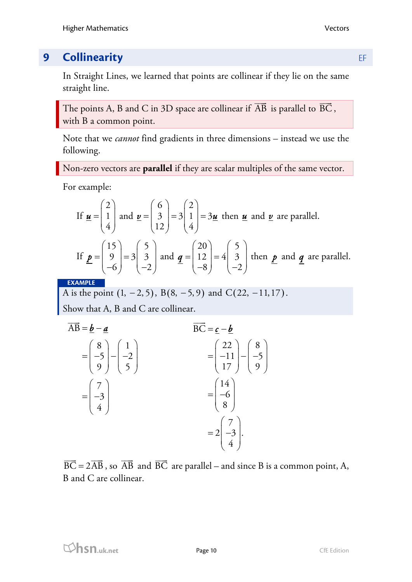## **9 Collinearity EF**

In Straight Lines, we learned that points are collinear if they lie on the same straight line.

The points A, B and C in 3D space are collinear if AB  $\overline{AB}$  is parallel to  $\overline{BC}$ , with B a common point.

Note that we *cannot* find gradients in three dimensions – instead we use the following.

Non-zero vectors are **parallel** if they are scalar multiples of the same vector.

For example:

If 
$$
\underline{\mathbf{u}} = \begin{pmatrix} 2 \\ 1 \\ 4 \end{pmatrix}
$$
 and  $\underline{\mathbf{v}} = \begin{pmatrix} 6 \\ 3 \\ 12 \end{pmatrix} = 3\begin{pmatrix} 2 \\ 1 \\ 4 \end{pmatrix} = 3\underline{\mathbf{u}}$  then  $\underline{\mathbf{u}}$  and  $\underline{\mathbf{v}}$  are parallel.  
\nIf  $\underline{\mathbf{p}} = \begin{pmatrix} 15 \\ 9 \\ -6 \end{pmatrix} = 3\begin{pmatrix} 5 \\ 3 \\ -2 \end{pmatrix}$  and  $\underline{\mathbf{q}} = \begin{pmatrix} 20 \\ 12 \\ -8 \end{pmatrix} = 4\begin{pmatrix} 5 \\ 3 \\ -2 \end{pmatrix}$  then  $\underline{\mathbf{p}}$  and  $\underline{\mathbf{q}}$  are parallel.

**EXAMPLE** 

A is the point  $(1, -2, 5)$ , B $(8, -5, 9)$  and C $(22, -11, 17)$ .

Show that A, B and C are collinear.

$$
\overrightarrow{AB} = \underline{b} - \underline{a}
$$
\n
$$
= \begin{pmatrix} 8 \\ -5 \\ 9 \end{pmatrix} - \begin{pmatrix} 1 \\ -2 \\ 5 \end{pmatrix}
$$
\n
$$
= \begin{pmatrix} 7 \\ -3 \\ 4 \end{pmatrix}
$$
\n
$$
= 2 \begin{pmatrix} 7 \\ -3 \\ 4 \end{pmatrix}
$$
\n
$$
= 2 \begin{pmatrix} 7 \\ -3 \\ 4 \end{pmatrix}.
$$
\n
$$
= 2 \begin{pmatrix} 7 \\ -3 \\ 4 \end{pmatrix}.
$$

 $\overrightarrow{BC} = 2\overrightarrow{AB}$ , so  $\overrightarrow{AB}$  $\overrightarrow{AB}$  and  $\overrightarrow{BC}$  are parallel – and since B is a common point, A, B and C are collinear.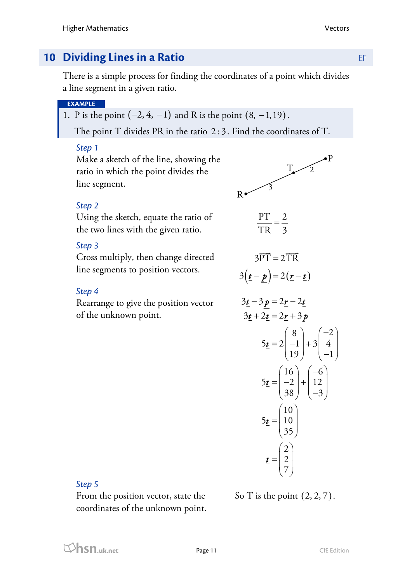## **10 Dividing Lines in a Ratio <b>EXALC 2018 10 Dividing Lines in a Ratio**

There is a simple process for finding the coordinates of a point which divides a line segment in a given ratio.

#### **EXAMPLE**

1. P is the point  $(-2, 4, -1)$  and R is the point  $(8, -1, 19)$ .

The point T divides PR in the ratio 2:3. Find the coordinates of T.

#### *Step 1*

Make a sketch of the line, showing the ratio in which the point divides the line segment.



 $\frac{PT}{TR} = \frac{2}{3}$ 

 $3\overrightarrow{PT} = 2\overrightarrow{TR}$  $\Rightarrow$   $\Rightarrow$ 

### *Step 2*

Using the sketch, equate the ratio of the two lines with the given ratio.

#### *Step 3*

Cross multiply, then change directed line segments to position vectors.<br>  $3(\underline{t} - \underline{p}) = 2(\underline{r} - \underline{t})$ 

#### *Step 4*

Rearrange to give the position vector of the unknown point.

$$
3\underline{t} - 3\underline{p} = 2\underline{r} - 2\underline{t}
$$
  
\n
$$
3\underline{t} + 2\underline{t} = 2\underline{r} + 3\underline{p}
$$
  
\n
$$
5\underline{t} = 2\begin{pmatrix} 8 \\ -1 \\ 19 \end{pmatrix} + 3\begin{pmatrix} -2 \\ 4 \\ -1 \end{pmatrix}
$$
  
\n
$$
5\underline{t} = \begin{pmatrix} 16 \\ -2 \\ 38 \end{pmatrix} + \begin{pmatrix} -6 \\ 12 \\ -3 \end{pmatrix}
$$
  
\n
$$
5\underline{t} = \begin{pmatrix} 10 \\ 10 \\ 35 \end{pmatrix}
$$
  
\n
$$
\underline{t} = \begin{pmatrix} 2 \\ 2 \\ 7 \end{pmatrix}
$$

#### *Step 5*

From the position vector, state the coordinates of the unknown point.

So T is the point  $(2, 2, 7)$ .

 $\mathcal{P}$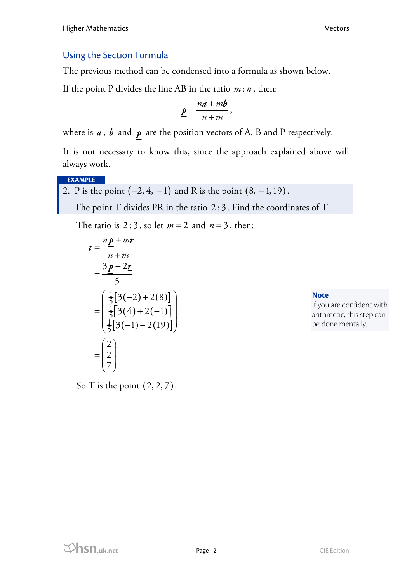## Using the Section Formula

The previous method can be condensed into a formula as shown below.

If the point P divides the line AB in the ratio  $m : n$ , then:

$$
\underline{p}=\frac{n\underline{a}+m\underline{b}}{n+m},
$$

where is  $\underline{a}$ ,  $\underline{b}$  and  $\underline{p}$  are the position vectors of A, B and P respectively.

It is not necessary to know this, since the approach explained above will always work.

**EXAMPLE** 

2. P is the point 
$$
(-2, 4, -1)
$$
 and R is the point  $(8, -1, 19)$ .

The point T divides PR in the ratio 2:3. Find the coordinates of T.

The ratio is 2:3, so let  $m = 2$  and  $n = 3$ , then:

$$
\underline{t} = \frac{n\underline{p} + m\underline{r}}{n + m}
$$
  
\n
$$
= \frac{3\underline{p} + 2\underline{r}}{5}
$$
  
\n
$$
= \begin{pmatrix} \frac{1}{5}[3(-2) + 2(8)] \\ \frac{1}{5}[3(4) + 2(-1)] \\ \frac{1}{5}[3(-1) + 2(19)] \end{pmatrix}
$$
  
\n
$$
= \begin{pmatrix} 2 \\ 2 \\ 7 \end{pmatrix}
$$

**Note** 

If you are confident with arithmetic, this step can be done mentally.

So T is the point  $(2, 2, 7)$ .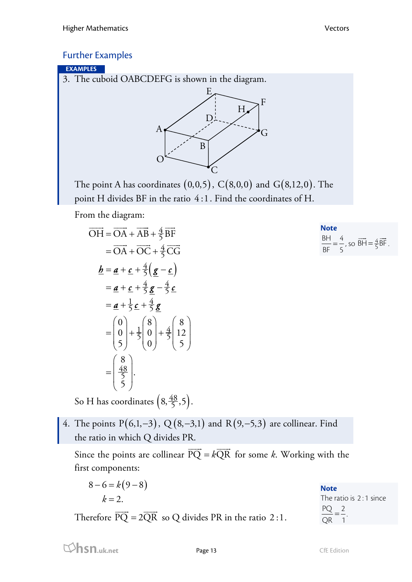**Note**   $\frac{BH}{12} = \frac{4}{12}$ BF 5

, so  $\overrightarrow{BH} = \frac{4}{5}\overrightarrow{BF}$ .

### Further Examples

#### **EXAMPLES**

3. The cuboid OABCDEFG is shown in the diagram.



The point A has coordinates  $(0,0,5)$ ,  $C(8,0,0)$  and  $G(8,12,0)$ . The point H divides BF in the ratio 4:1. Find the coordinates of H.

From the diagram:

$$
\overrightarrow{OH} = \overrightarrow{OA} + \overrightarrow{AB} + \frac{4}{5} \overrightarrow{BF}
$$
\n
$$
= \overrightarrow{OA} + \overrightarrow{OC} + \frac{4}{5} \overrightarrow{CG}
$$
\n
$$
\underline{b} = \underline{a} + \underline{c} + \frac{4}{5} (\underline{g} - \underline{c})
$$
\n
$$
= \underline{a} + \underline{c} + \frac{4}{5} \underline{g} - \frac{4}{5} \underline{c}
$$
\n
$$
= \underline{a} + \frac{1}{5} \underline{c} + \frac{4}{5} \underline{g}
$$
\n
$$
= \begin{pmatrix} 0 \\ 0 \\ 5 \end{pmatrix} + \frac{1}{5} \begin{pmatrix} 8 \\ 0 \\ 0 \end{pmatrix} + \frac{4}{5} \begin{pmatrix} 8 \\ 12 \\ 5 \end{pmatrix}
$$
\n
$$
= \begin{pmatrix} 8 \\ \frac{48}{5} \\ 5 \end{pmatrix}.
$$

So H has coordinates  $\left(8, \frac{48}{5}, 5\right)$ .

4. The points  $P(6,1,-3)$ ,  $Q(8,-3,1)$  and  $R(9,-5,3)$  are collinear. Find the ratio in which Q divides PR.

Since the points are collinear  $\overrightarrow{PQ} = k\overrightarrow{QR}$  for some *k*. Working with the first components:

| $8-6=k(9-8)$                                      | <b>Note</b>            |
|---------------------------------------------------|------------------------|
| $k=2$ .                                           | The ratio is 2:1 since |
| $\sim$ $\sim$ $\sim$<br>$\sim$ $\sim$<br>________ | PQ 2                   |

Therefore  $PQ = 2QR$  so Q divides PR in the ratio 2:1.

 $\frac{PQ}{Q} = \frac{2}{2}$ QR 1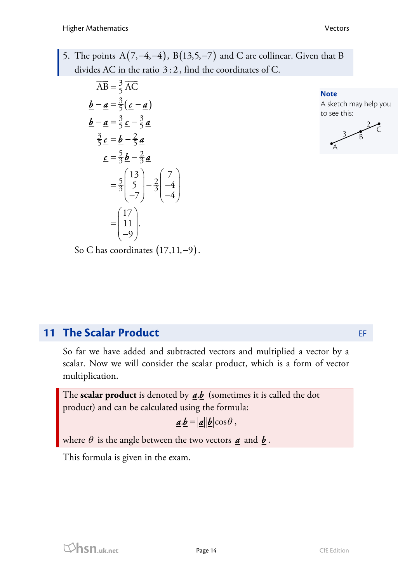5. The points  $A(7, -4, -4)$ ,  $B(13, 5, -7)$  and C are collinear. Given that B divides AC in the ratio 3:2 , find the coordinates of C.

$$
\overrightarrow{AB} = \frac{3}{5}\overrightarrow{AC}
$$
\n
$$
\underline{\mathbf{b}} - \underline{\mathbf{a}} = \frac{3}{5}(\underline{\mathbf{c}} - \underline{\mathbf{a}})
$$
\n
$$
\underline{\mathbf{b}} - \underline{\mathbf{a}} = \frac{3}{5}\underline{\mathbf{c}} - \frac{3}{5}\underline{\mathbf{a}}
$$
\n
$$
\frac{3}{5}\underline{\mathbf{c}} = \underline{\mathbf{b}} - \frac{2}{5}\underline{\mathbf{a}}
$$
\n
$$
\underline{\mathbf{c}} = \frac{5}{3}\underline{\mathbf{b}} - \frac{2}{3}\underline{\mathbf{a}}
$$
\n
$$
= \frac{5}{3}\begin{pmatrix} 13 \\ 5 \\ -7 \end{pmatrix} - \frac{2}{3}\begin{pmatrix} 7 \\ -4 \\ -4 \end{pmatrix}
$$
\n
$$
= \begin{pmatrix} 17 \\ 11 \\ -9 \end{pmatrix}.
$$

**Note** 

A sketch may help you to see this:



So C has coordinates  $(17,11,-9)$ .

# **11 The Scalar Product <b>EF**

So far we have added and subtracted vectors and multiplied a vector by a scalar. Now we will consider the scalar product, which is a form of vector multiplication.

The **scalar product** is denoted by  $\underline{a}.\underline{b}$  (sometimes it is called the dot product) and can be calculated using the formula:

$$
\underline{\mathbf{a}}.\underline{\mathbf{b}} = |\underline{\mathbf{a}}||\underline{\mathbf{b}}|\cos\theta\,,
$$

where  $\theta$  is the angle between the two vectors  $\boldsymbol{a}$  and  $\boldsymbol{b}$ .

This formula is given in the exam.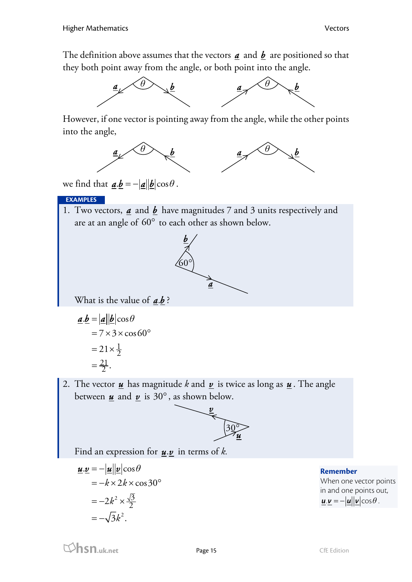The definition above assumes that the vectors  $\boldsymbol{a}$  and  $\boldsymbol{b}$  are positioned so that they both point away from the angle, or both point into the angle.



However, if one vector is pointing away from the angle, while the other points into the angle,



we find that  $\mathbf{a} \cdot \mathbf{b} = -|\mathbf{a}||\mathbf{b}|\cos\theta$ .

### **EXAMPLES**

1. Two vectors, *a* and *b* have magnitudes 7 and 3 units respectively and are at an angle of  $60^{\circ}$  to each other as shown below.



What is the value of  $a.b$ ?

$$
\underline{\mathbf{a}}.\underline{\mathbf{b}} = |\underline{\mathbf{a}}||\underline{\mathbf{b}}|\cos\theta
$$
  
= 7 \times 3 \times \cos 60^{\circ}  
= 21 \times \frac{1}{2}  
= \frac{21}{2}.

2. The vector *u* has magnitude *k* and *v* is twice as long as *u* . The angle between  $\boldsymbol{\mu}$  and  $\boldsymbol{\nu}$  is 30°, as shown below.



Find an expression for  $u \cdot v$  in terms of *k*.

$$
\underline{\mathbf{u}}.\underline{\mathbf{v}} = -|\underline{\mathbf{u}}||\underline{\mathbf{v}}|\cos\theta
$$
  
=  $-k \times 2k \times \cos 30^{\circ}$   
=  $-2k^2 \times \frac{\sqrt{3}}{2}$   
=  $-\sqrt{3}k^2$ .

**Remember** 

When one vector points in and one points out,  $\mathbf{u} \cdot \mathbf{v} = -|\mathbf{u}||\mathbf{v}|\cos\theta$ .

**hsn.uk.net** Page 15 CfE Edition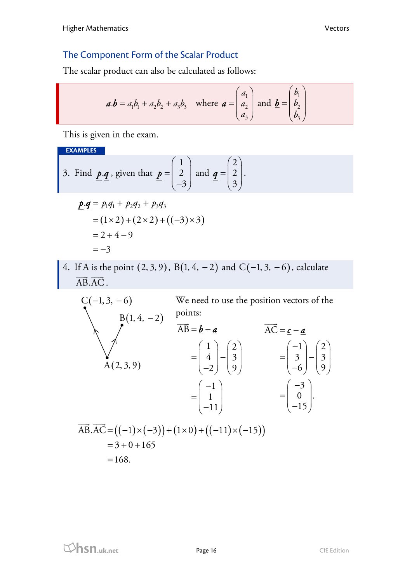## The Component Form of the Scalar Product

The scalar product can also be calculated as follows:

$$
\underline{\mathbf{a}}.\underline{\mathbf{b}} = a_1b_1 + a_2b_2 + a_3b_3 \quad \text{where } \underline{\mathbf{a}} = \begin{pmatrix} a_1 \\ a_2 \\ a_3 \end{pmatrix} \text{ and } \underline{\mathbf{b}} = \begin{pmatrix} b_1 \\ b_2 \\ b_3 \end{pmatrix}
$$

This is given in the exam.

**EXAMPLES** 

3. Find p·q, given that 
$$
\underline{p} = \begin{pmatrix} 1 \\ 2 \\ -3 \end{pmatrix}
$$
 and  $\underline{q} = \begin{pmatrix} 2 \\ 2 \\ 3 \end{pmatrix}$ .

$$
\begin{aligned} \underline{P} \cdot \underline{q} &= P_1 q_1 + P_2 q_2 + P_3 q_3 \\ &= (1 \times 2) + (2 \times 2) + ((-3) \times 3) \\ &= 2 + 4 - 9 \\ &= -3 \end{aligned}
$$

4. If A is the point  $(2, 3, 9)$ , B $(1, 4, -2)$  and C $(-1, 3, -6)$ , calculate  $\overrightarrow{AB} \cdot \overrightarrow{AC}$ .

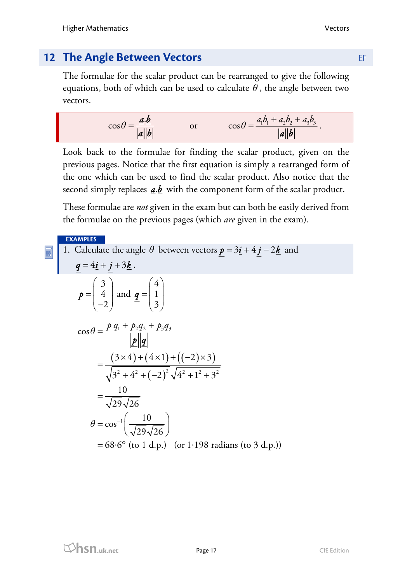# **12 The Angle Between Vectors <b>EXALCE ANGLE 2018**

The formulae for the scalar product can be rearranged to give the following equations, both of which can be used to calculate  $\theta$ , the angle between two vectors.

$$
\cos \theta = \frac{\underline{\mathbf{a}}.\underline{\mathbf{b}}}{|\underline{\mathbf{a}}||\underline{\mathbf{b}}|} \quad \text{or} \quad \cos \theta = \frac{a_1b_1 + a_2b_2 + a_3b_3}{|\underline{\mathbf{a}}||\underline{\mathbf{b}}|}.
$$

Look back to the formulae for finding the scalar product, given on the previous pages. Notice that the first equation is simply a rearranged form of the one which can be used to find the scalar product. Also notice that the second simply replaces  $\underline{a}.\underline{b}$  with the component form of the scalar product.

These formulae are *not* given in the exam but can both be easily derived from the formulae on the previous pages (which *are* given in the exam).

**EXAMPLES** 

1. Calculate the angle 
$$
\theta
$$
 between vectors  $\underline{\mathbf{p}} = 3\underline{\mathbf{i}} + 4\underline{\mathbf{j}} - 2\underline{\mathbf{k}}$  and  
\n
$$
\underline{\mathbf{q}} = 4\underline{\mathbf{i}} + \underline{\mathbf{j}} + 3\underline{\mathbf{k}}.
$$
\n
$$
\underline{\mathbf{p}} = \begin{pmatrix} 3 \\ 4 \\ -2 \end{pmatrix} \text{ and } \underline{\mathbf{q}} = \begin{pmatrix} 4 \\ 1 \\ 3 \end{pmatrix}
$$
\n
$$
\cos \theta = \frac{p_1 q_1 + p_2 q_2 + p_3 q_3}{|\underline{\mathbf{p}}||\underline{\mathbf{q}}|}
$$
\n
$$
= \frac{(3 \times 4) + (4 \times 1) + ((-2) \times 3)}{\sqrt{3^2 + 4^2 + (-2)^2} \sqrt{4^2 + 1^2 + 3^2}}
$$
\n
$$
= \frac{10}{\sqrt{29}\sqrt{26}}
$$
\n
$$
\theta = \cos^{-1}\left(\frac{10}{\sqrt{29}\sqrt{26}}\right)
$$
\n= 68.6° (to 1 d.p.) (or 1.198 radians (to 3 d.p.))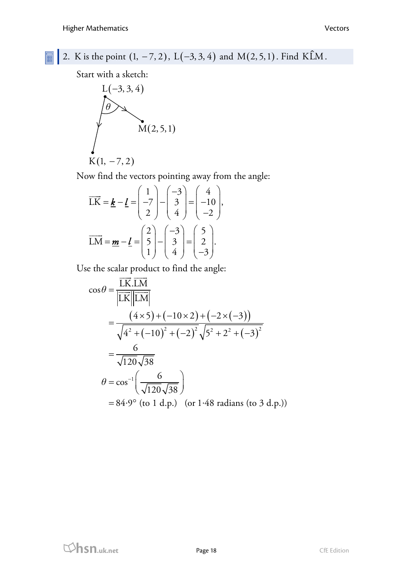圖

2. K is the point  $(1, -7, 2)$ ,  $L(-3, 3, 4)$  and  $M(2, 5, 1)$ . Find KLM.

Start with a sketch:

$$
L(-3, 3, 4)
$$
\n
$$
M(2, 5, 1)
$$
\n
$$
K(1, -7, 2)
$$

Now find the vectors pointing away from the angle:

$$
\overrightarrow{LK} = \underline{\mathbf{k}} - \underline{\mathbf{l}} = \begin{pmatrix} 1 \\ -7 \\ 2 \end{pmatrix} - \begin{pmatrix} -3 \\ 3 \\ 4 \end{pmatrix} = \begin{pmatrix} 4 \\ -10 \\ -2 \end{pmatrix},
$$

$$
\overrightarrow{LM} = \underline{\mathbf{m}} - \underline{\mathbf{l}} = \begin{pmatrix} 2 \\ 5 \\ 1 \end{pmatrix} - \begin{pmatrix} -3 \\ 3 \\ 4 \end{pmatrix} = \begin{pmatrix} 5 \\ 2 \\ -3 \end{pmatrix}.
$$

Use the scalar product to find the angle:

$$
\cos \theta = \frac{\overline{LK}.\overline{LM}}{|\overline{LK}||\overline{LM}|}
$$
  
= 
$$
\frac{(4 \times 5) + (-10 \times 2) + (-2 \times (-3))}{\sqrt{4^2 + (-10)^2 + (-2)^2} \sqrt{5^2 + 2^2 + (-3)^2}}
$$
  
= 
$$
\frac{6}{\sqrt{120} \sqrt{38}}
$$
  

$$
\theta = \cos^{-1}(\frac{6}{\sqrt{120} \sqrt{38}})
$$
  
= 84.9° (to 1 d.p.) (or 1.48 radians (to 3 d.p.))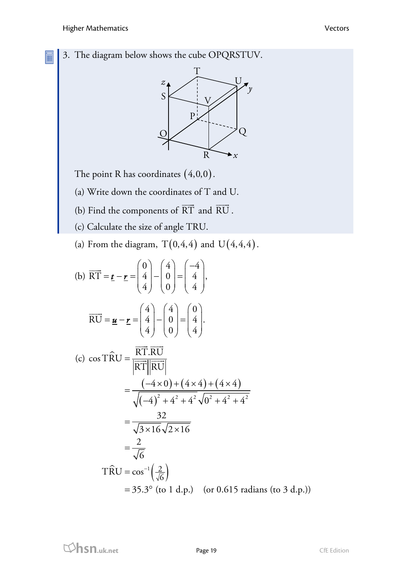E



The point R has coordinates  $(4,0,0)$ .

- (a) Write down the coordinates of T and U.
- (b) Find the components of RT  $\overline{\phantom{a}}$ and  $\overrightarrow{\text{RU}}$ .
	- (c) Calculate the size of angle TRU.
	- (a) From the diagram,  $T(0,4,4)$  and  $U(4,4,4)$ .

(b) 
$$
\overrightarrow{RT} = \underline{\mathbf{r}} - \underline{\mathbf{r}} = \begin{pmatrix} 0 \\ 4 \\ 4 \end{pmatrix} - \begin{pmatrix} 4 \\ 0 \\ 0 \end{pmatrix} = \begin{pmatrix} -4 \\ 4 \\ 4 \end{pmatrix},
$$
  
\n
$$
\overrightarrow{RU} = \underline{\mathbf{u}} - \underline{\mathbf{r}} = \begin{pmatrix} 4 \\ 4 \\ 4 \end{pmatrix} - \begin{pmatrix} 4 \\ 0 \\ 0 \end{pmatrix} = \begin{pmatrix} 0 \\ 4 \\ 4 \end{pmatrix}.
$$
  
\n(c)  $\cos \widehat{TRU} = \frac{\overrightarrow{RT} \cdot \overrightarrow{RU}}{|\overrightarrow{RT}||\overrightarrow{RU}|}$   
\n
$$
= \frac{(-4 \times 0) + (4 \times 4) + (4 \times 4)}{\sqrt{(-4)^2 + 4^2 + 4^2} \sqrt{0^2 + 4^2 + 4^2}}
$$
  
\n
$$
= \frac{32}{\sqrt{3 \times 16} \sqrt{2 \times 16}}
$$
  
\n
$$
= \frac{2}{\sqrt{6}}
$$
  
\n $\overrightarrow{TRU} = \cos^{-1}(\frac{2}{\sqrt{6}})$   
\n= 35.3° (to 1 d.p.) (or 0.615 radians (to 3 d.p.))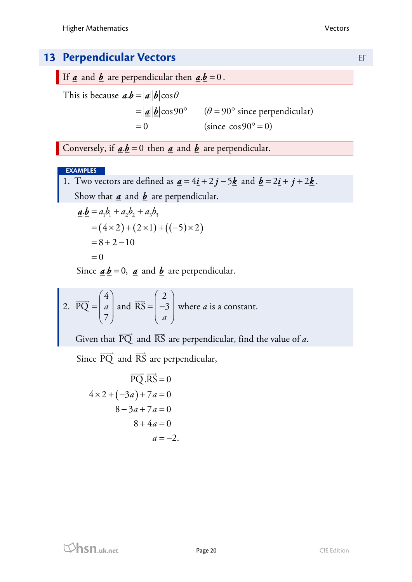# **13 Perpendicular Vectors EF**

If  $\underline{a}$  and  $\underline{b}$  are perpendicular then  $\underline{a}.\underline{b} = 0$ .

This is because  $\mathbf{a}.\mathbf{b} = |\mathbf{a}||\mathbf{b}| \cos \theta$  $=|\underline{\mathbf{a}}||\underline{\mathbf{b}}|\cos 90^{\circ}$  ( $\theta = 90^{\circ}$  since perpendicular)  $= 0$  (since  $\cos 90^\circ = 0$ )

Conversely, if  $\underline{\mathbf{a}}.\underline{\mathbf{b}} = 0$  then  $\underline{\mathbf{a}}$  and  $\underline{\mathbf{b}}$  are perpendicular.

#### **EXAMPLES**

1. Two vectors are defined as  $\underline{a} = 4\underline{i} + 2\underline{j} - 5\underline{k}$  and  $\underline{b} = 2\underline{i} + \underline{j} + 2\underline{k}$ . Show that  $\underline{a}$  and  $\underline{b}$  are perpendicular.

$$
\underline{a}.\underline{b} = a_1b_1 + a_2b_2 + a_3b_3
$$
  
= (4 \times 2) + (2 \times 1) + ((-5) \times 2)  
= 8 + 2 - 10  
= 0

Since  $\underline{\mathbf{a}}.\underline{\mathbf{b}} = 0$ ,  $\underline{\mathbf{a}}$  and  $\underline{\mathbf{b}}$  are perpendicular.

2. 
$$
\overrightarrow{PQ} = \begin{pmatrix} 4 \\ a \\ 7 \end{pmatrix}
$$
 and  $\overrightarrow{RS} = \begin{pmatrix} 2 \\ -3 \\ a \end{pmatrix}$  where *a* is a constant.

Given that  $\overrightarrow{PQ}$  and  $\overrightarrow{RS}$  are perpendicular, find the value of *a*.

Since  $\overrightarrow{PQ}$  and  $\overrightarrow{RS}$  are perpendicular,

$$
\overrightarrow{PQ} \cdot \overrightarrow{RS} = 0
$$
  
 
$$
4 \times 2 + (-3a) + 7a = 0
$$
  
 
$$
8 - 3a + 7a = 0
$$
  
 
$$
8 + 4a = 0
$$
  
 
$$
a = -2.
$$

**html**<br> **hsn.uk.net** Page 20 Page 20 CfE Edition